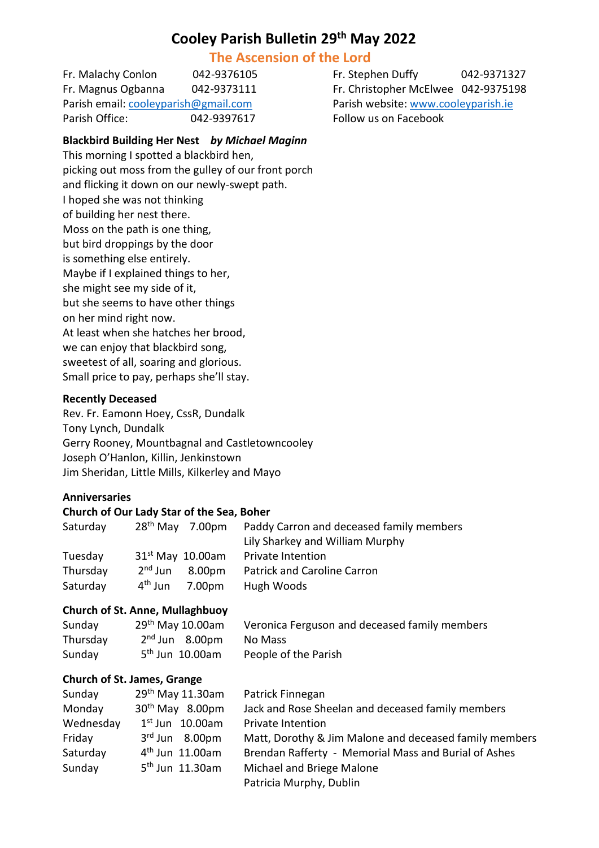# **Cooley Parish Bulletin 29 th May 2022**

# **The Ascension of the Lord**

Parish email[: cooleyparish@gmail.com](mailto:cooleyparish@gmail.com) Parish website: [www.cooleyparish.ie](http://www.cooleyparish.ie/) Parish Office: 042-9397617 Follow us on Facebook

Fr. Malachy Conlon 042-9376105 Fr. Stephen Duffy 042-9371327 Fr. Magnus Ogbanna 042-9373111 Fr. Christopher McElwee 042-9375198

# **Blackbird Building Her Nest** *by Michael Maginn*

This morning I spotted a blackbird hen, picking out moss from the gulley of our front porch and flicking it down on our newly-swept path. I hoped she was not thinking of building her nest there. Moss on the path is one thing, but bird droppings by the door is something else entirely. Maybe if I explained things to her, she might see my side of it, but she seems to have other things on her mind right now. At least when she hatches her brood, we can enjoy that blackbird song, sweetest of all, soaring and glorious. Small price to pay, perhaps she'll stay.

#### **Recently Deceased**

Rev. Fr. Eamonn Hoey, CssR, Dundalk Tony Lynch, Dundalk Gerry Rooney, Mountbagnal and Castletowncooley Joseph O'Hanlon, Killin, Jenkinstown Jim Sheridan, Little Mills, Kilkerley and Mayo

#### **Anniversaries**

#### **Church of Our Lady Star of the Sea, Boher**

| Saturday | $28th$ May 7.00pm             | Paddy Carron and deceased family members |
|----------|-------------------------------|------------------------------------------|
|          |                               | Lily Sharkey and William Murphy          |
| Tuesday  | $31st$ May 10.00am            | <b>Private Intention</b>                 |
| Thursday | $2nd$ Jun<br>8.00pm           | <b>Patrick and Caroline Carron</b>       |
| Saturday | 4 <sup>th</sup> Jun<br>7.00pm | Hugh Woods                               |

#### **Church of St. Anne, Mullaghbuoy**

| Sunday   | $29th$ May 10.00am          | Veronica Ferguson and deceased family members |
|----------|-----------------------------|-----------------------------------------------|
| Thursday | $2nd$ Jun $8.00pm$          | No Mass                                       |
| Sunday   | 5 <sup>th</sup> Jun 10.00am | People of the Parish                          |

#### **Church of St. James, Grange**

| Sunday    | 29 <sup>th</sup> May 11.30am | Patrick Finnegan                                       |
|-----------|------------------------------|--------------------------------------------------------|
| Monday    | $30th$ May $8.00$ pm         | Jack and Rose Sheelan and deceased family members      |
| Wednesday | $1st$ Jun $10.00$ am         | Private Intention                                      |
| Friday    | $3rd$ Jun $8.00pm$           | Matt, Dorothy & Jim Malone and deceased family members |
| Saturday  | $4th$ Jun 11.00am            | Brendan Rafferty - Memorial Mass and Burial of Ashes   |
| Sunday    | $5th$ Jun 11.30am            | Michael and Briege Malone                              |
|           |                              | Patricia Murphy, Dublin                                |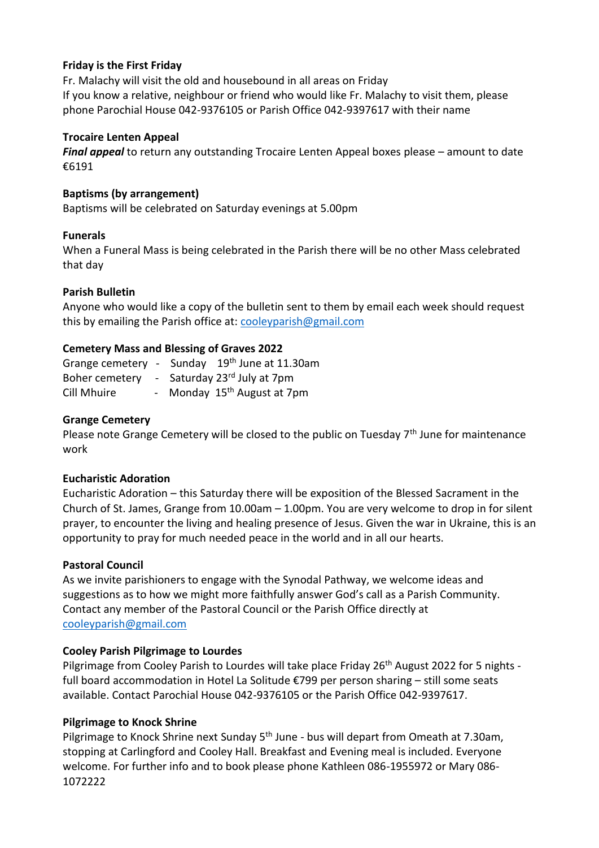# **Friday is the First Friday**

Fr. Malachy will visit the old and housebound in all areas on Friday If you know a relative, neighbour or friend who would like Fr. Malachy to visit them, please phone Parochial House 042-9376105 or Parish Office 042-9397617 with their name

#### **Trocaire Lenten Appeal**

*Final appeal* to return any outstanding Trocaire Lenten Appeal boxes please – amount to date €6191

## **Baptisms (by arrangement)**

Baptisms will be celebrated on Saturday evenings at 5.00pm

#### **Funerals**

When a Funeral Mass is being celebrated in the Parish there will be no other Mass celebrated that day

## **Parish Bulletin**

Anyone who would like a copy of the bulletin sent to them by email each week should request this by emailing the Parish office at: [cooleyparish@gmail.com](mailto:cooleyparish@gmail.com)

## **Cemetery Mass and Blessing of Graves 2022**

|             | Grange cemetery - Sunday 19th June at 11.30am |  |
|-------------|-----------------------------------------------|--|
|             | Boher cemetery - Saturday 23rd July at 7pm    |  |
| Cill Mhuire | - Monday 15 <sup>th</sup> August at 7pm       |  |

## **Grange Cemetery**

Please note Grange Cemetery will be closed to the public on Tuesday 7<sup>th</sup> June for maintenance work

#### **Eucharistic Adoration**

Eucharistic Adoration – this Saturday there will be exposition of the Blessed Sacrament in the Church of St. James, Grange from 10.00am – 1.00pm. You are very welcome to drop in for silent prayer, to encounter the living and healing presence of Jesus. Given the war in Ukraine, this is an opportunity to pray for much needed peace in the world and in all our hearts.

#### **Pastoral Council**

As we invite parishioners to engage with the Synodal Pathway, we welcome ideas and suggestions as to how we might more faithfully answer God's call as a Parish Community. Contact any member of the Pastoral Council or the Parish Office directly at [cooleyparish@gmail.com](mailto:cooleyparish@gmail.com)

#### **Cooley Parish Pilgrimage to Lourdes**

Pilgrimage from Cooley Parish to Lourdes will take place Friday 26<sup>th</sup> August 2022 for 5 nights full board accommodation in Hotel La Solitude €799 per person sharing – still some seats available. Contact Parochial House 042-9376105 or the Parish Office 042-9397617.

#### **Pilgrimage to Knock Shrine**

Pilgrimage to Knock Shrine next Sunday 5<sup>th</sup> June - bus will depart from Omeath at 7.30am, stopping at Carlingford and Cooley Hall. Breakfast and Evening meal is included. Everyone welcome. For further info and to book please phone Kathleen 086-1955972 or Mary 086- 1072222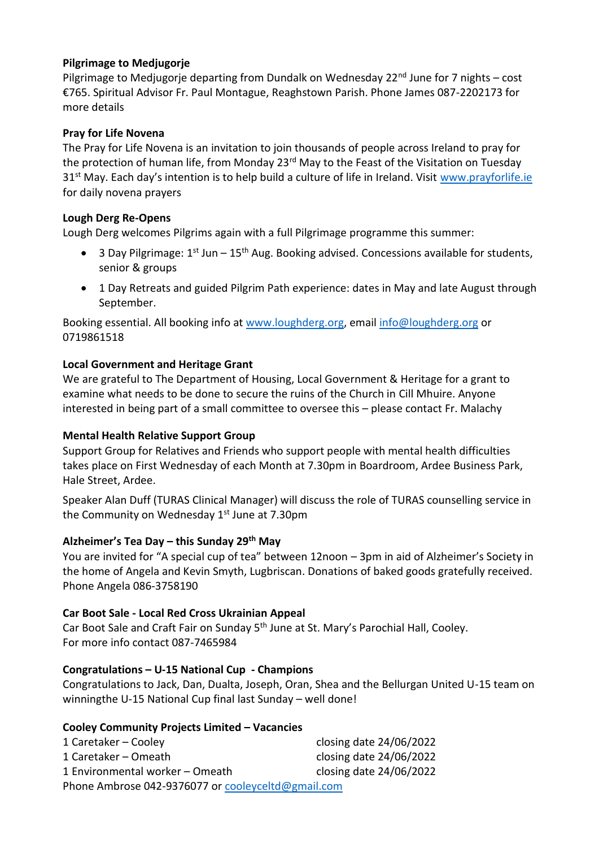# **Pilgrimage to Medjugorje**

Pilgrimage to Medjugorje departing from Dundalk on Wednesday 22<sup>nd</sup> June for 7 nights – cost €765. Spiritual Advisor Fr. Paul Montague, Reaghstown Parish. Phone James 087-2202173 for more details

# **Pray for Life Novena**

The Pray for Life Novena is an invitation to join thousands of people across Ireland to pray for the protection of human life, from Monday 23<sup>rd</sup> May to the Feast of the Visitation on Tuesday 31<sup>st</sup> May. Each day's intention is to help build a culture of life in Ireland. Visit [www.prayforlife.ie](http://www.prayforlife.ie/) for daily novena prayers

# **Lough Derg Re-Opens**

Lough Derg welcomes Pilgrims again with a full Pilgrimage programme this summer:

- 3 Day Pilgrimage:  $1^{st}$  Jun  $15^{th}$  Aug. Booking advised. Concessions available for students, senior & groups
- 1 Day Retreats and guided Pilgrim Path experience: dates in May and late August through September.

Booking essential. All booking info at [www.loughderg.org,](http://www.loughderg.org/) email [info@loughderg.org](mailto:info@loughderg.org) or 0719861518

# **Local Government and Heritage Grant**

We are grateful to The Department of Housing, Local Government & Heritage for a grant to examine what needs to be done to secure the ruins of the Church in Cill Mhuire. Anyone interested in being part of a small committee to oversee this – please contact Fr. Malachy

# **Mental Health Relative Support Group**

Support Group for Relatives and Friends who support people with mental health difficulties takes place on First Wednesday of each Month at 7.30pm in Boardroom, Ardee Business Park, Hale Street, Ardee.

Speaker Alan Duff (TURAS Clinical Manager) will discuss the role of TURAS counselling service in the Community on Wednesday 1<sup>st</sup> June at 7.30pm

# **Alzheimer's Tea Day – this Sunday 29th May**

You are invited for "A special cup of tea" between 12noon – 3pm in aid of Alzheimer's Society in the home of Angela and Kevin Smyth, Lugbriscan. Donations of baked goods gratefully received. Phone Angela 086-3758190

# **Car Boot Sale - Local Red Cross Ukrainian Appeal**

Car Boot Sale and Craft Fair on Sunday 5<sup>th</sup> June at St. Mary's Parochial Hall, Cooley. For more info contact 087-7465984

# **Congratulations – U-15 National Cup - Champions**

Congratulations to Jack, Dan, Dualta, Joseph, Oran, Shea and the Bellurgan United U-15 team on winningthe U-15 National Cup final last Sunday – well done!

# **Cooley Community Projects Limited – Vacancies**

| 1 Caretaker – Cooley                               | closing date 24/06/2022 |  |  |  |
|----------------------------------------------------|-------------------------|--|--|--|
| 1 Caretaker – Omeath                               | closing date 24/06/2022 |  |  |  |
| 1 Environmental worker - Omeath                    | closing date 24/06/2022 |  |  |  |
| Phone Ambrose 042-9376077 or cooleyceltd@gmail.com |                         |  |  |  |